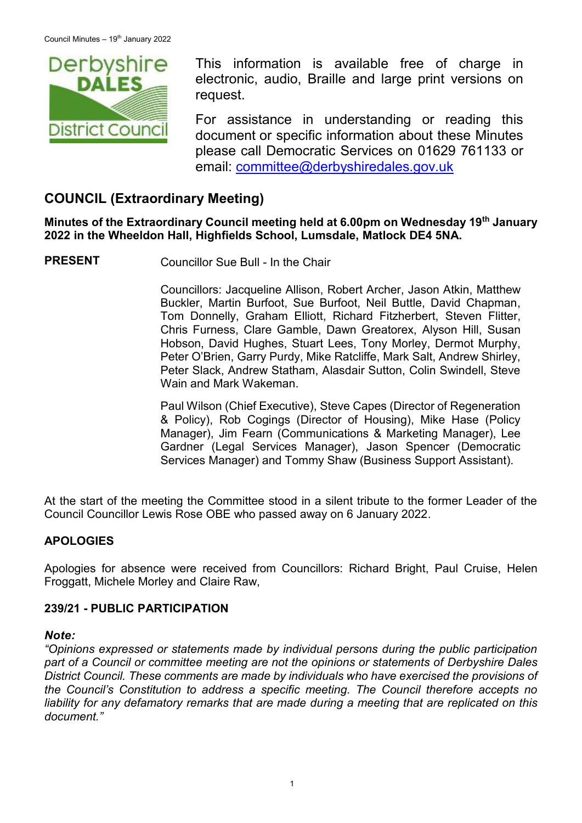

This information is available free of charge in electronic, audio, Braille and large print versions on request.

For assistance in understanding or reading this document or specific information about these Minutes please call Democratic Services on 01629 761133 or email: [committee@derbyshiredales.gov.uk](mailto:brian.evans@derbyshiredales.gov.uk)

# **COUNCIL (Extraordinary Meeting)**

**Minutes of the Extraordinary Council meeting held at 6.00pm on Wednesday 19th January 2022 in the Wheeldon Hall, Highfields School, Lumsdale, Matlock DE4 5NA.**

**PRESENT** Councillor Sue Bull - In the Chair

Councillors: Jacqueline Allison, Robert Archer, Jason Atkin, Matthew Buckler, Martin Burfoot, Sue Burfoot, Neil Buttle, David Chapman, Tom Donnelly, Graham Elliott, Richard Fitzherbert, Steven Flitter, Chris Furness, Clare Gamble, Dawn Greatorex, Alyson Hill, Susan Hobson, David Hughes, Stuart Lees, Tony Morley, Dermot Murphy, Peter O'Brien, Garry Purdy, Mike Ratcliffe, Mark Salt, Andrew Shirley, Peter Slack, Andrew Statham, Alasdair Sutton, Colin Swindell, Steve Wain and Mark Wakeman.

Paul Wilson (Chief Executive), Steve Capes (Director of Regeneration & Policy), Rob Cogings (Director of Housing), Mike Hase (Policy Manager), Jim Fearn (Communications & Marketing Manager), Lee Gardner (Legal Services Manager), Jason Spencer (Democratic Services Manager) and Tommy Shaw (Business Support Assistant).

At the start of the meeting the Committee stood in a silent tribute to the former Leader of the Council Councillor Lewis Rose OBE who passed away on 6 January 2022.

## **APOLOGIES**

Apologies for absence were received from Councillors: Richard Bright, Paul Cruise, Helen Froggatt, Michele Morley and Claire Raw,

#### **239/21 - PUBLIC PARTICIPATION**

#### *Note:*

*"Opinions expressed or statements made by individual persons during the public participation part of a Council or committee meeting are not the opinions or statements of Derbyshire Dales District Council. These comments are made by individuals who have exercised the provisions of the Council's Constitution to address a specific meeting. The Council therefore accepts no liability for any defamatory remarks that are made during a meeting that are replicated on this document."*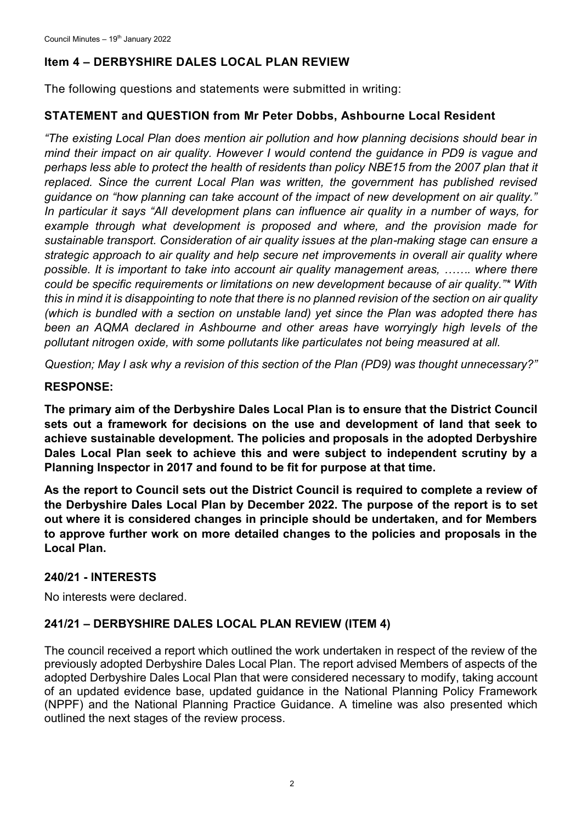# **Item 4 – DERBYSHIRE DALES LOCAL PLAN REVIEW**

The following questions and statements were submitted in writing:

# **STATEMENT and QUESTION from Mr Peter Dobbs, Ashbourne Local Resident**

*"The existing Local Plan does mention air pollution and how planning decisions should bear in mind their impact on air quality. However I would contend the guidance in PD9 is vague and*  perhaps less able to protect the health of residents than policy NBE15 from the 2007 plan that it replaced. Since the current Local Plan was written, the government has published revised *guidance on "how planning can take account of the impact of new development on air quality." In particular it says "All development plans can influence air quality in a number of ways, for example through what development is proposed and where, and the provision made for sustainable transport. Consideration of air quality issues at the plan-making stage can ensure a strategic approach to air quality and help secure net improvements in overall air quality where possible. It is important to take into account air quality management areas, ……. where there could be specific requirements or limitations on new development because of air quality."\* With this in mind it is disappointing to note that there is no planned revision of the section on air quality (which is bundled with a section on unstable land) yet since the Plan was adopted there has*  been an AQMA declared in Ashbourne and other areas have worryingly high levels of the *pollutant nitrogen oxide, with some pollutants like particulates not being measured at all.* 

*Question; May I ask why a revision of this section of the Plan (PD9) was thought unnecessary?"*

## **RESPONSE:**

**The primary aim of the Derbyshire Dales Local Plan is to ensure that the District Council sets out a framework for decisions on the use and development of land that seek to achieve sustainable development. The policies and proposals in the adopted Derbyshire Dales Local Plan seek to achieve this and were subject to independent scrutiny by a Planning Inspector in 2017 and found to be fit for purpose at that time.**

**As the report to Council sets out the District Council is required to complete a review of the Derbyshire Dales Local Plan by December 2022. The purpose of the report is to set out where it is considered changes in principle should be undertaken, and for Members to approve further work on more detailed changes to the policies and proposals in the Local Plan.**

## **240/21 - INTERESTS**

No interests were declared.

## **241/21 – DERBYSHIRE DALES LOCAL PLAN REVIEW (ITEM 4)**

The council received a report which outlined the work undertaken in respect of the review of the previously adopted Derbyshire Dales Local Plan. The report advised Members of aspects of the adopted Derbyshire Dales Local Plan that were considered necessary to modify, taking account of an updated evidence base, updated guidance in the National Planning Policy Framework (NPPF) and the National Planning Practice Guidance. A timeline was also presented which outlined the next stages of the review process.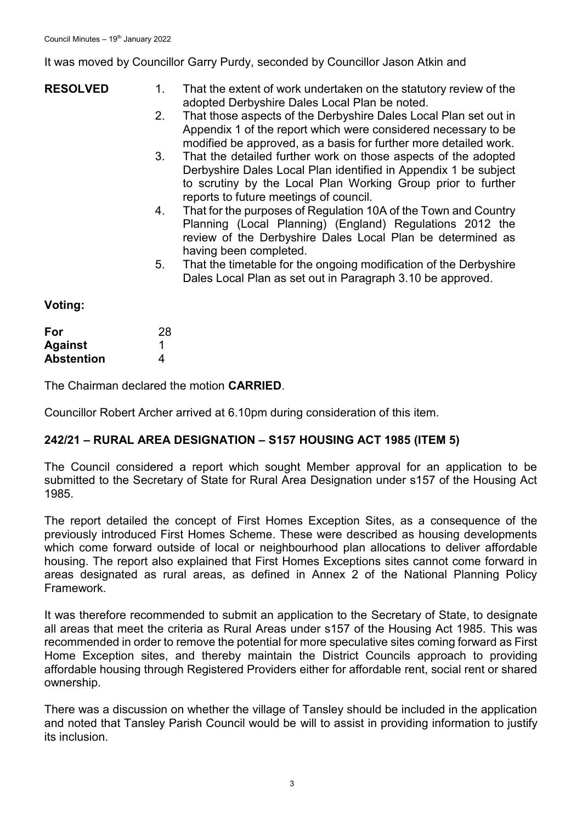It was moved by Councillor Garry Purdy, seconded by Councillor Jason Atkin and

#### **RESOLVED**

- 1. That the extent of work undertaken on the statutory review of the adopted Derbyshire Dales Local Plan be noted.
- 2. That those aspects of the Derbyshire Dales Local Plan set out in Appendix 1 of the report which were considered necessary to be modified be approved, as a basis for further more detailed work.
- 3. That the detailed further work on those aspects of the adopted Derbyshire Dales Local Plan identified in Appendix 1 be subject to scrutiny by the Local Plan Working Group prior to further reports to future meetings of council.
- 4. That for the purposes of Regulation 10A of the Town and Country Planning (Local Planning) (England) Regulations 2012 the review of the Derbyshire Dales Local Plan be determined as having been completed.
- 5. That the timetable for the ongoing modification of the Derbyshire Dales Local Plan as set out in Paragraph 3.10 be approved.

## **Voting:**

| For               | 28 |
|-------------------|----|
| <b>Against</b>    |    |
| <b>Abstention</b> | 4  |

The Chairman declared the motion **CARRIED**.

Councillor Robert Archer arrived at 6.10pm during consideration of this item.

## **242/21 – RURAL AREA DESIGNATION – S157 HOUSING ACT 1985 (ITEM 5)**

The Council considered a report which sought Member approval for an application to be submitted to the Secretary of State for Rural Area Designation under s157 of the Housing Act 1985.

The report detailed the concept of First Homes Exception Sites, as a consequence of the previously introduced First Homes Scheme. These were described as housing developments which come forward outside of local or neighbourhood plan allocations to deliver affordable housing. The report also explained that First Homes Exceptions sites cannot come forward in areas designated as rural areas, as defined in Annex 2 of the National Planning Policy **Framework** 

It was therefore recommended to submit an application to the Secretary of State, to designate all areas that meet the criteria as Rural Areas under s157 of the Housing Act 1985. This was recommended in order to remove the potential for more speculative sites coming forward as First Home Exception sites, and thereby maintain the District Councils approach to providing affordable housing through Registered Providers either for affordable rent, social rent or shared ownership.

There was a discussion on whether the village of Tansley should be included in the application and noted that Tansley Parish Council would be will to assist in providing information to justify its inclusion.